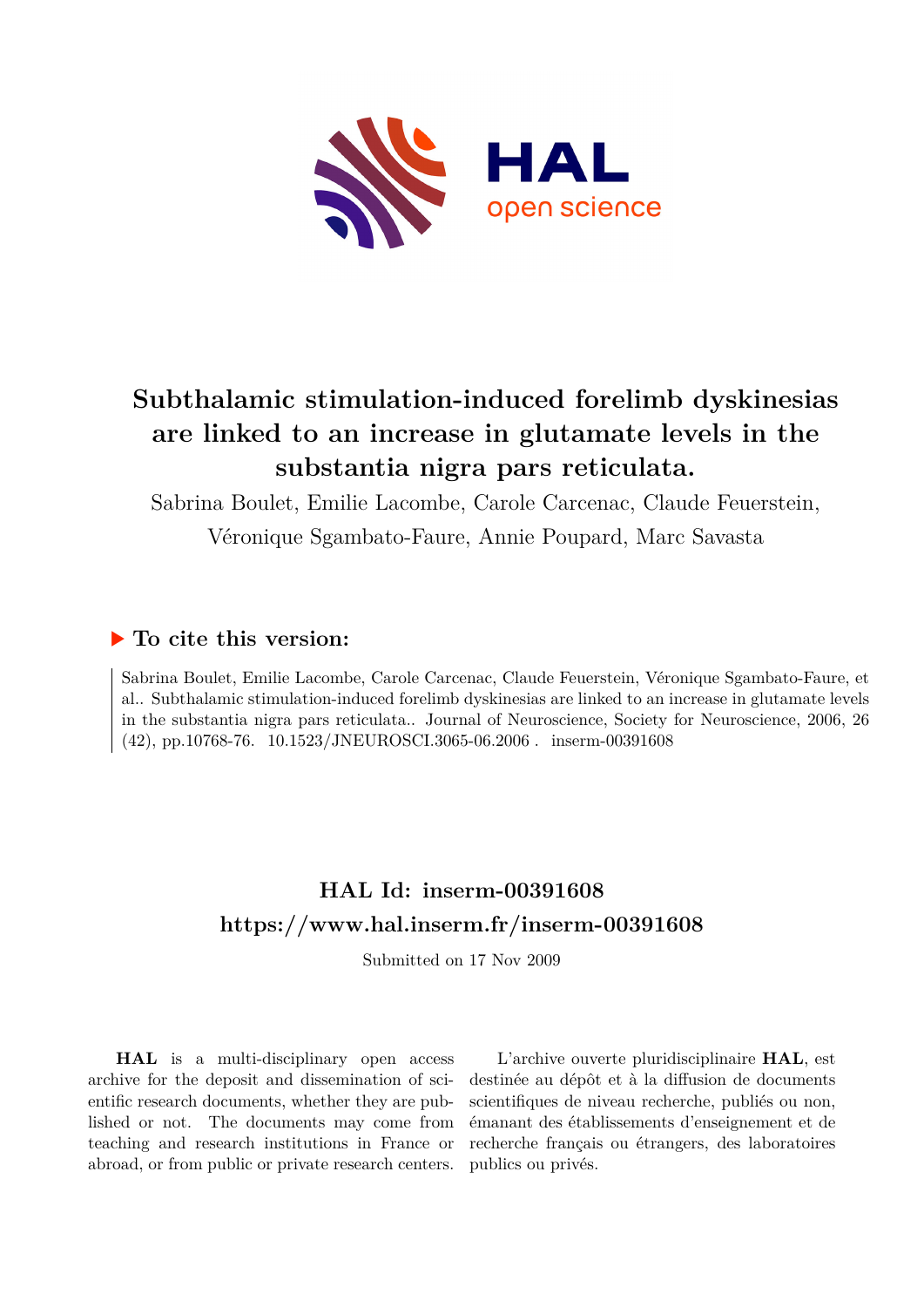

## **Subthalamic stimulation-induced forelimb dyskinesias are linked to an increase in glutamate levels in the substantia nigra pars reticulata.**

Sabrina Boulet, Emilie Lacombe, Carole Carcenac, Claude Feuerstein,

Véronique Sgambato-Faure, Annie Poupard, Marc Savasta

### **To cite this version:**

Sabrina Boulet, Emilie Lacombe, Carole Carcenac, Claude Feuerstein, Véronique Sgambato-Faure, et al.. Subthalamic stimulation-induced forelimb dyskinesias are linked to an increase in glutamate levels in the substantia nigra pars reticulata.. Journal of Neuroscience, Society for Neuroscience, 2006, 26  $(42)$ , pp.10768-76.  $10.1523/JNEUROSCI.3065-06.2006$ . inserm-00391608

## **HAL Id: inserm-00391608 <https://www.hal.inserm.fr/inserm-00391608>**

Submitted on 17 Nov 2009

**HAL** is a multi-disciplinary open access archive for the deposit and dissemination of scientific research documents, whether they are published or not. The documents may come from teaching and research institutions in France or abroad, or from public or private research centers.

L'archive ouverte pluridisciplinaire **HAL**, est destinée au dépôt et à la diffusion de documents scientifiques de niveau recherche, publiés ou non, émanant des établissements d'enseignement et de recherche français ou étrangers, des laboratoires publics ou privés.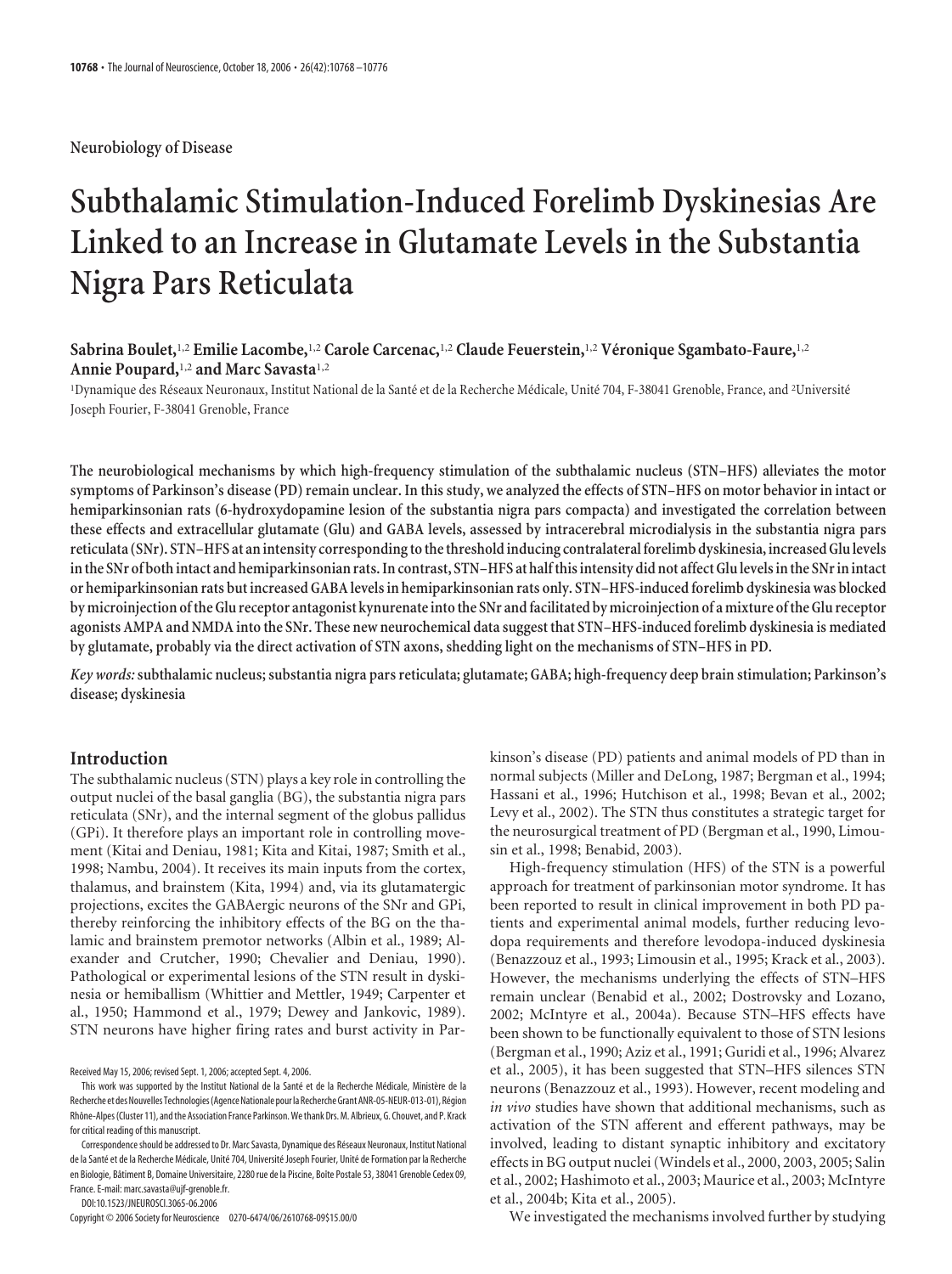#### **Neurobiology of Disease**

# **Subthalamic Stimulation-Induced Forelimb Dyskinesias Are Linked to an Increase in Glutamate Levels in the Substantia Nigra Pars Reticulata**

#### **Sabrina Boulet,**1,2 **Emilie Lacombe,**1,2 **Carole Carcenac,**1,2 **Claude Feuerstein,**1,2 **Ve´ronique Sgambato-Faure,**1,2 **Annie Poupard,**1,2 **and Marc Savasta**1,2

<sup>1</sup>Dynamique des Réseaux Neuronaux, Institut National de la Santé et de la Recherche Médicale, Unité 704, F-38041 Grenoble, France, and <sup>2</sup>Université Joseph Fourier, F-38041 Grenoble, France

**The neurobiological mechanisms by which high-frequency stimulation of the subthalamic nucleus (STN–HFS) alleviates the motor symptoms of Parkinson's disease (PD) remain unclear. In this study, we analyzed the effects of STN–HFS on motor behavior in intact or hemiparkinsonian rats (6-hydroxydopamine lesion of the substantia nigra pars compacta) and investigated the correlation between these effects and extracellular glutamate (Glu) and GABA levels, assessed by intracerebral microdialysis in the substantia nigra pars reticulata (SNr). STN–HFS at an intensity correspondingtothethreshold inducing contralateralforelimb dyskinesia, increased Glu levels inthe SNr of both intact and hemiparkinsonian rats. In contrast, STN–HFS at halfthis intensity did not affect Glu levels inthe SNr in intact or hemiparkinsonian rats but increased GABA levels in hemiparkinsonian rats only. STN–HFS-induced forelimb dyskinesia was blocked by microinjection ofthe Glu receptor antagonist kynurenate intothe SNr andfacilitated by microinjection of a mixture ofthe Glu receptor agonists AMPA and NMDA into the SNr. These new neurochemical data suggest that STN–HFS-induced forelimb dyskinesia is mediated by glutamate, probably via the direct activation of STN axons, shedding light on the mechanisms of STN–HFS in PD.**

*Key words:***subthalamic nucleus; substantia nigra pars reticulata; glutamate; GABA; high-frequency deep brain stimulation; Parkinson's disease; dyskinesia**

#### **Introduction**

The subthalamic nucleus (STN) plays a key role in controlling the output nuclei of the basal ganglia (BG), the substantia nigra pars reticulata (SNr), and the internal segment of the globus pallidus (GPi). It therefore plays an important role in controlling movement (Kitai and Deniau, 1981; Kita and Kitai, 1987; Smith et al., 1998; Nambu, 2004). It receives its main inputs from the cortex, thalamus, and brainstem (Kita, 1994) and, via its glutamatergic projections, excites the GABAergic neurons of the SNr and GPi, thereby reinforcing the inhibitory effects of the BG on the thalamic and brainstem premotor networks (Albin et al., 1989; Alexander and Crutcher, 1990; Chevalier and Deniau, 1990). Pathological or experimental lesions of the STN result in dyskinesia or hemiballism (Whittier and Mettler, 1949; Carpenter et al., 1950; Hammond et al., 1979; Dewey and Jankovic, 1989). STN neurons have higher firing rates and burst activity in Par-

DOI:10.1523/JNEUROSCI.3065-06.2006

Copyright © 2006 Society for Neuroscience 0270-6474/06/2610768-09\$15.00/0

kinson's disease (PD) patients and animal models of PD than in normal subjects (Miller and DeLong, 1987; Bergman et al., 1994; Hassani et al., 1996; Hutchison et al., 1998; Bevan et al., 2002; Levy et al., 2002). The STN thus constitutes a strategic target for the neurosurgical treatment of PD (Bergman et al., 1990, Limousin et al., 1998; Benabid, 2003).

High-frequency stimulation (HFS) of the STN is a powerful approach for treatment of parkinsonian motor syndrome. It has been reported to result in clinical improvement in both PD patients and experimental animal models, further reducing levodopa requirements and therefore levodopa-induced dyskinesia (Benazzouz et al., 1993; Limousin et al., 1995; Krack et al., 2003). However, the mechanisms underlying the effects of STN–HFS remain unclear (Benabid et al., 2002; Dostrovsky and Lozano, 2002; McIntyre et al., 2004a). Because STN–HFS effects have been shown to be functionally equivalent to those of STN lesions (Bergman et al., 1990; Aziz et al., 1991; Guridi et al., 1996; Alvarez et al., 2005), it has been suggested that STN–HFS silences STN neurons (Benazzouz et al., 1993). However, recent modeling and *in vivo* studies have shown that additional mechanisms, such as activation of the STN afferent and efferent pathways, may be involved, leading to distant synaptic inhibitory and excitatory effects in BG output nuclei (Windels et al., 2000, 2003, 2005; Salin et al., 2002; Hashimoto et al., 2003; Maurice et al., 2003; McIntyre et al., 2004b; Kita et al., 2005).

We investigated the mechanisms involved further by studying

Received May 15, 2006; revised Sept. 1, 2006; accepted Sept. 4, 2006.

This work was supported by the Institut National de la Santé et de la Recherche Médicale, Ministère de la Recherche et des Nouvelles Technologies (Agence Nationale pour la Recherche Grant ANR-05-NEUR-013-01), Région Rhône-Alpes (Cluster 11), and the Association France Parkinson. We thank Drs. M. Albrieux, G. Chouvet, and P. Krack for critical reading of this manuscript.

Correspondence should be addressed to Dr. Marc Savasta, Dynamique des Réseaux Neuronaux, Institut National de la Santé et de la Recherche Médicale, Unité 704, Université Joseph Fourier, Unité de Formation par la Recherche en Biologie, Bâtiment B, Domaine Universitaire, 2280 rue de la Piscine, Boîte Postale 53, 38041 Grenoble Cedex 09, France. E-mail: marc.savasta@ujf-grenoble.fr.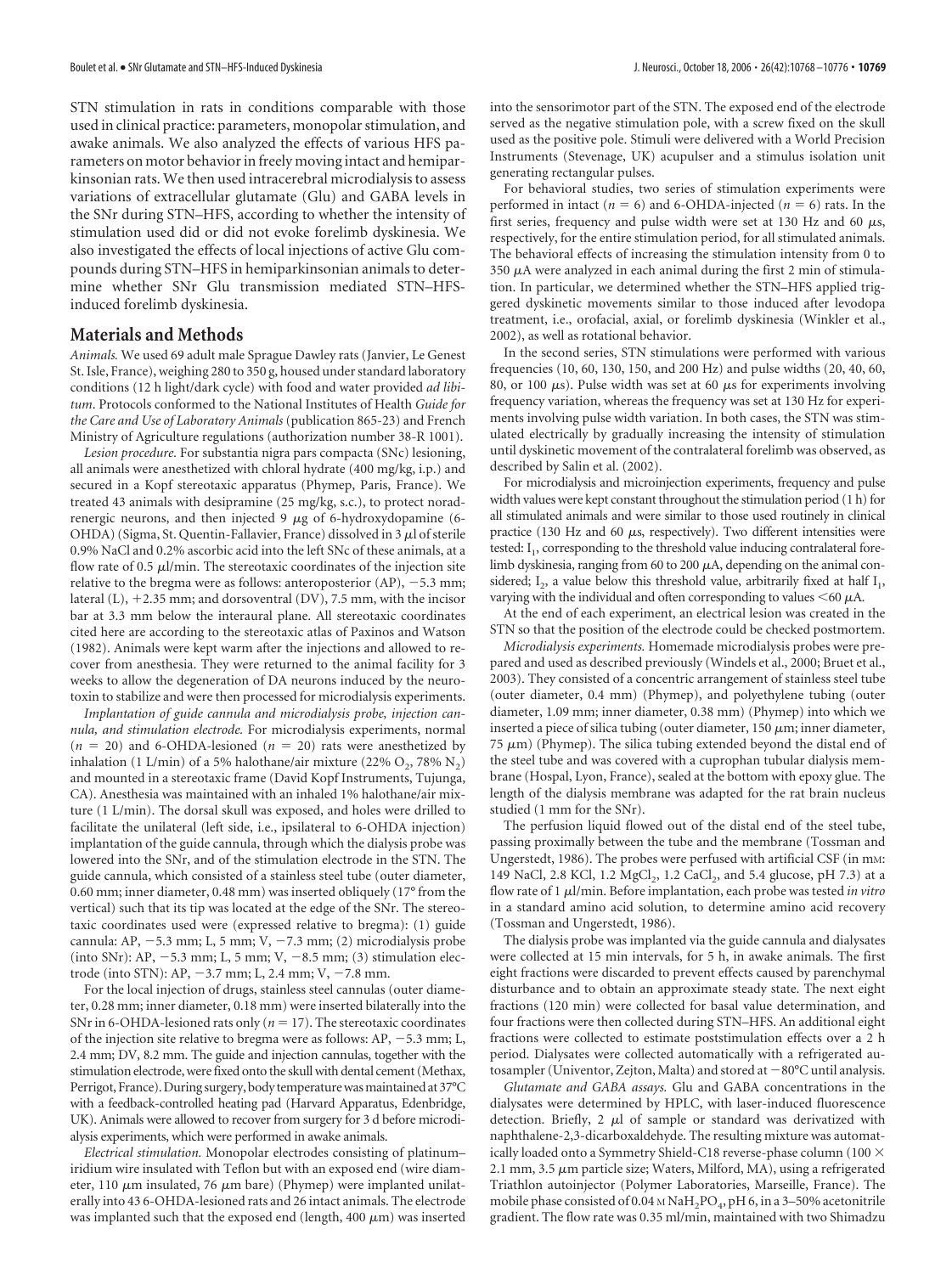STN stimulation in rats in conditions comparable with those used in clinical practice: parameters, monopolar stimulation, and awake animals. We also analyzed the effects of various HFS parameters on motor behavior in freely moving intact and hemiparkinsonian rats. We then used intracerebral microdialysis to assess variations of extracellular glutamate (Glu) and GABA levels in the SNr during STN–HFS, according to whether the intensity of stimulation used did or did not evoke forelimb dyskinesia. We also investigated the effects of local injections of active Glu compounds during STN–HFS in hemiparkinsonian animals to determine whether SNr Glu transmission mediated STN–HFSinduced forelimb dyskinesia.

#### **Materials and Methods**

*Animals.* We used 69 adult male Sprague Dawley rats (Janvier, Le Genest St. Isle, France), weighing 280 to 350 g, housed under standard laboratory conditions (12 h light/dark cycle) with food and water provided *ad libitum*. Protocols conformed to the National Institutes of Health *Guide for the Care and Use of Laboratory Animals* (publication 865-23) and French Ministry of Agriculture regulations (authorization number 38-R 1001).

*Lesion procedure.* For substantia nigra pars compacta (SNc) lesioning, all animals were anesthetized with chloral hydrate (400 mg/kg, i.p.) and secured in a Kopf stereotaxic apparatus (Phymep, Paris, France). We treated 43 animals with desipramine (25 mg/kg, s.c.), to protect noradrenergic neurons, and then injected 9  $\mu$ g of 6-hydroxydopamine (6-OHDA) (Sigma, St. Quentin-Fallavier, France) dissolved in  $3 \mu$ l of sterile 0.9% NaCl and 0.2% ascorbic acid into the left SNc of these animals, at a flow rate of 0.5  $\mu$ l/min. The stereotaxic coordinates of the injection site relative to the bregma were as follows: anteroposterior  $(AP)$ ,  $-5.3$  mm; lateral (L), +2.35 mm; and dorsoventral (DV), 7.5 mm, with the incisor bar at 3.3 mm below the interaural plane. All stereotaxic coordinates cited here are according to the stereotaxic atlas of Paxinos and Watson (1982). Animals were kept warm after the injections and allowed to recover from anesthesia. They were returned to the animal facility for 3 weeks to allow the degeneration of DA neurons induced by the neurotoxin to stabilize and were then processed for microdialysis experiments.

*Implantation of guide cannula and microdialysis probe, injection cannula, and stimulation electrode.* For microdialysis experiments, normal  $(n = 20)$  and 6-OHDA-lesioned  $(n = 20)$  rats were anesthetized by inhalation (1 L/min) of a 5% halothane/air mixture (22%  $O_2$ , 78%  $N_2$ ) and mounted in a stereotaxic frame (David Kopf Instruments, Tujunga, CA). Anesthesia was maintained with an inhaled 1% halothane/air mixture (1 L/min). The dorsal skull was exposed, and holes were drilled to facilitate the unilateral (left side, i.e., ipsilateral to 6-OHDA injection) implantation of the guide cannula, through which the dialysis probe was lowered into the SNr, and of the stimulation electrode in the STN. The guide cannula, which consisted of a stainless steel tube (outer diameter, 0.60 mm; inner diameter, 0.48 mm) was inserted obliquely (17° from the vertical) such that its tip was located at the edge of the SNr. The stereotaxic coordinates used were (expressed relative to bregma): (1) guide cannula: AP,  $-5.3$  mm; L, 5 mm; V,  $-7.3$  mm; (2) microdialysis probe (into SNr): AP,  $-5.3$  mm; L, 5 mm; V,  $-8.5$  mm; (3) stimulation electrode (into STN): AP,  $-3.7$  mm; L, 2.4 mm; V,  $-7.8$  mm.

For the local injection of drugs, stainless steel cannulas (outer diameter, 0.28 mm; inner diameter, 0.18 mm) were inserted bilaterally into the SNr in 6-OHDA-lesioned rats only ( $n = 17$ ). The stereotaxic coordinates of the injection site relative to bregma were as follows:  $AP, -5.3$  mm; L, 2.4 mm; DV, 8.2 mm. The guide and injection cannulas, together with the stimulation electrode, werefixed onto the skull with dental cement (Methax, Perrigot, France). During surgery, body temperature was maintained at 37°C with a feedback-controlled heating pad (Harvard Apparatus, Edenbridge, UK). Animals were allowed to recover from surgery for 3 d before microdialysis experiments, which were performed in awake animals.

*Electrical stimulation.* Monopolar electrodes consisting of platinum– iridium wire insulated with Teflon but with an exposed end (wire diameter, 110  $\mu$ m insulated, 76  $\mu$ m bare) (Phymep) were implanted unilaterally into 43 6-OHDA-lesioned rats and 26 intact animals. The electrode was implanted such that the exposed end (length, 400  $\mu$ m) was inserted

into the sensorimotor part of the STN. The exposed end of the electrode served as the negative stimulation pole, with a screw fixed on the skull used as the positive pole. Stimuli were delivered with a World Precision Instruments (Stevenage, UK) acupulser and a stimulus isolation unit generating rectangular pulses.

For behavioral studies, two series of stimulation experiments were performed in intact ( $n = 6$ ) and 6-OHDA-injected ( $n = 6$ ) rats. In the first series, frequency and pulse width were set at 130 Hz and 60  $\mu$ s, respectively, for the entire stimulation period, for all stimulated animals. The behavioral effects of increasing the stimulation intensity from 0 to 350  $\mu$ A were analyzed in each animal during the first 2 min of stimulation. In particular, we determined whether the STN–HFS applied triggered dyskinetic movements similar to those induced after levodopa treatment, i.e., orofacial, axial, or forelimb dyskinesia (Winkler et al., 2002), as well as rotational behavior.

In the second series, STN stimulations were performed with various frequencies (10, 60, 130, 150, and 200 Hz) and pulse widths (20, 40, 60, 80, or 100  $\mu$ s). Pulse width was set at 60  $\mu$ s for experiments involving frequency variation, whereas the frequency was set at 130 Hz for experiments involving pulse width variation. In both cases, the STN was stimulated electrically by gradually increasing the intensity of stimulation until dyskinetic movement of the contralateral forelimb was observed, as described by Salin et al. (2002).

For microdialysis and microinjection experiments, frequency and pulse width values were kept constant throughout the stimulation period (1 h) for all stimulated animals and were similar to those used routinely in clinical practice (130 Hz and 60  $\mu$ s, respectively). Two different intensities were tested:  $I_1$ , corresponding to the threshold value inducing contralateral forelimb dyskinesia, ranging from 60 to 200  $\mu$ A, depending on the animal considered;  $I_2$ , a value below this threshold value, arbitrarily fixed at half  $I_1$ , varying with the individual and often corresponding to values  $\leq 60 \mu A$ .

At the end of each experiment, an electrical lesion was created in the STN so that the position of the electrode could be checked postmortem.

*Microdialysis experiments.* Homemade microdialysis probes were prepared and used as described previously (Windels et al., 2000; Bruet et al., 2003). They consisted of a concentric arrangement of stainless steel tube (outer diameter, 0.4 mm) (Phymep), and polyethylene tubing (outer diameter, 1.09 mm; inner diameter, 0.38 mm) (Phymep) into which we inserted a piece of silica tubing (outer diameter,  $150 \mu m$ ; inner diameter, 75  $\mu$ m) (Phymep). The silica tubing extended beyond the distal end of the steel tube and was covered with a cuprophan tubular dialysis membrane (Hospal, Lyon, France), sealed at the bottom with epoxy glue. The length of the dialysis membrane was adapted for the rat brain nucleus studied (1 mm for the SNr).

The perfusion liquid flowed out of the distal end of the steel tube, passing proximally between the tube and the membrane (Tossman and Ungerstedt, 1986). The probes were perfused with artificial CSF (in mM: 149 NaCl, 2.8 KCl, 1.2 MgCl<sub>2</sub>, 1.2 CaCl<sub>2</sub>, and 5.4 glucose, pH 7.3) at a flow rate of 1  $\mu$ l/min. Before implantation, each probe was tested *in vitro* in a standard amino acid solution, to determine amino acid recovery (Tossman and Ungerstedt, 1986).

The dialysis probe was implanted via the guide cannula and dialysates were collected at 15 min intervals, for 5 h, in awake animals. The first eight fractions were discarded to prevent effects caused by parenchymal disturbance and to obtain an approximate steady state. The next eight fractions (120 min) were collected for basal value determination, and four fractions were then collected during STN–HFS. An additional eight fractions were collected to estimate poststimulation effects over a 2 h period. Dialysates were collected automatically with a refrigerated autosampler (Univentor, Zejton, Malta) and stored at  $-80^{\circ}$ C until analysis.

*Glutamate and GABA assays.* Glu and GABA concentrations in the dialysates were determined by HPLC, with laser-induced fluorescence detection. Briefly, 2  $\mu$ l of sample or standard was derivatized with naphthalene-2,3-dicarboxaldehyde. The resulting mixture was automatically loaded onto a Symmetry Shield-C18 reverse-phase column (100  $\times$ 2.1 mm, 3.5  $\mu$ m particle size; Waters, Milford, MA), using a refrigerated Triathlon autoinjector (Polymer Laboratories, Marseille, France). The mobile phase consisted of  $0.04 \text{ m}$  NaH<sub>2</sub>PO<sub>4</sub>, pH 6, in a 3-50% acetonitrile gradient. The flow rate was 0.35 ml/min, maintained with two Shimadzu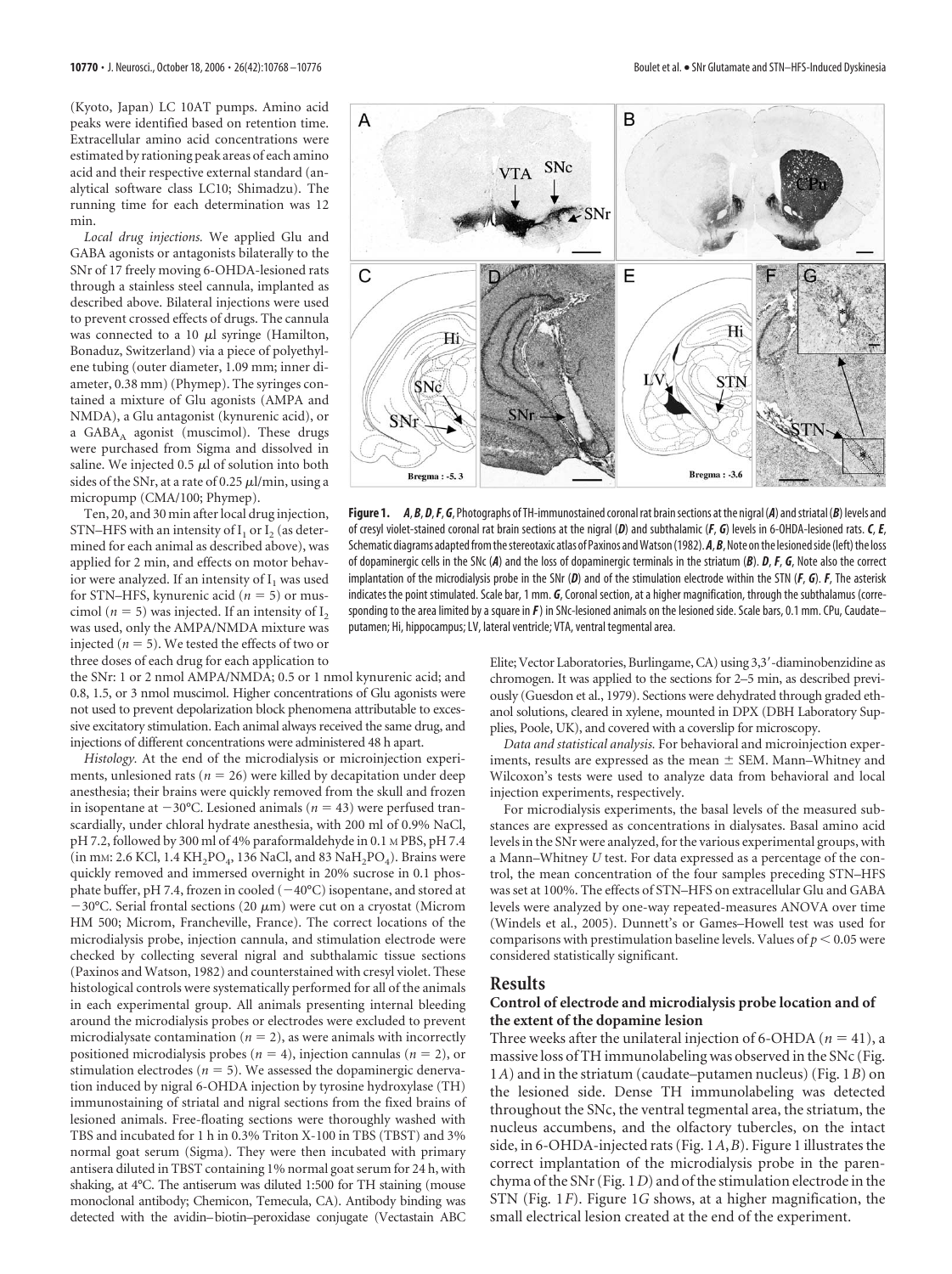(Kyoto, Japan) LC 10AT pumps. Amino acid peaks were identified based on retention time. Extracellular amino acid concentrations were estimated by rationing peak areas of each amino acid and their respective external standard (analytical software class LC10; Shimadzu). The running time for each determination was 12 min.

*Local drug injections.* We applied Glu and GABA agonists or antagonists bilaterally to the SNr of 17 freely moving 6-OHDA-lesioned rats through a stainless steel cannula, implanted as described above. Bilateral injections were used to prevent crossed effects of drugs. The cannula was connected to a 10  $\mu$ l syringe (Hamilton, Bonaduz, Switzerland) via a piece of polyethylene tubing (outer diameter, 1.09 mm; inner diameter, 0.38 mm) (Phymep). The syringes contained a mixture of Glu agonists (AMPA and NMDA), a Glu antagonist (kynurenic acid), or a  $GABA_A$  agonist (muscimol). These drugs were purchased from Sigma and dissolved in saline. We injected 0.5  $\mu$ l of solution into both sides of the SNr, at a rate of 0.25  $\mu$ l/min, using a micropump (CMA/100; Phymep).

Ten, 20, and 30 min after local drug injection, STN–HFS with an intensity of  $I_1$  or  $I_2$  (as determined for each animal as described above), was applied for 2 min, and effects on motor behavior were analyzed. If an intensity of  $I_1$  was used for STN–HFS, kynurenic acid ( $n = 5$ ) or muscimol ( $n = 5$ ) was injected. If an intensity of I<sub>2</sub> was used, only the AMPA/NMDA mixture was injected ( $n = 5$ ). We tested the effects of two or three doses of each drug for each application to

the SNr: 1 or 2 nmol AMPA/NMDA; 0.5 or 1 nmol kynurenic acid; and 0.8, 1.5, or 3 nmol muscimol. Higher concentrations of Glu agonists were not used to prevent depolarization block phenomena attributable to excessive excitatory stimulation. Each animal always received the same drug, and injections of different concentrations were administered 48 h apart.

*Histology.* At the end of the microdialysis or microinjection experiments, unlesioned rats ( $n = 26$ ) were killed by decapitation under deep anesthesia; their brains were quickly removed from the skull and frozen in isopentane at  $-30^{\circ}$ C. Lesioned animals ( $n = 43$ ) were perfused transcardially, under chloral hydrate anesthesia, with 200 ml of 0.9% NaCl, pH 7.2, followed by 300 ml of 4% paraformaldehyde in 0.1 M PBS, pH 7.4 (in mm: 2.6 KCl, 1.4 KH<sub>2</sub>PO<sub>4</sub>, 136 NaCl, and 83 NaH<sub>2</sub>PO<sub>4</sub>). Brains were quickly removed and immersed overnight in 20% sucrose in 0.1 phosphate buffer, pH 7.4, frozen in cooled  $(-40^{\circ}C)$  isopentane, and stored at  $-30^{\circ}$ C. Serial frontal sections (20  $\mu$ m) were cut on a cryostat (Microm HM 500; Microm, Francheville, France). The correct locations of the microdialysis probe, injection cannula, and stimulation electrode were checked by collecting several nigral and subthalamic tissue sections (Paxinos and Watson, 1982) and counterstained with cresyl violet. These histological controls were systematically performed for all of the animals in each experimental group. All animals presenting internal bleeding around the microdialysis probes or electrodes were excluded to prevent microdialysate contamination ( $n = 2$ ), as were animals with incorrectly positioned microdialysis probes ( $n = 4$ ), injection cannulas ( $n = 2$ ), or stimulation electrodes ( $n = 5$ ). We assessed the dopaminergic denervation induced by nigral 6-OHDA injection by tyrosine hydroxylase (TH) immunostaining of striatal and nigral sections from the fixed brains of lesioned animals. Free-floating sections were thoroughly washed with TBS and incubated for 1 h in 0.3% Triton X-100 in TBS (TBST) and 3% normal goat serum (Sigma). They were then incubated with primary antisera diluted in TBST containing 1% normal goat serum for 24 h, with shaking, at 4°C. The antiserum was diluted 1:500 for TH staining (mouse monoclonal antibody; Chemicon, Temecula, CA). Antibody binding was detected with the avidin–biotin–peroxidase conjugate (Vectastain ABC



Figure 1. *A*, *B*, *D*, *F*, *G*, Photographs of TH-immunostained coronal rat brain sections at the nigral (*A*) and striatal (*B*) levels and of cresyl violet-stained coronal rat brain sections at the nigral (*D*) and subthalamic (*F*, *G*) levels in 6-OHDA-lesioned rats. *C*, *E*, Schematic diagrams adapted from the stereotaxic atlas of Paxinos and Watson (1982).  $A$ ,  $B$ , Note on the lesioned side (left) the loss of dopaminergic cells in the SNc (*A*) and the loss of dopaminergic terminals in the striatum (*B*). *D*, *F*, *G*, Note also the correct implantation of the microdialysis probe in the SNr (*D*) and of the stimulation electrode within the STN (*F*, *G*). *F*, The asterisk indicates the point stimulated. Scale bar, 1 mm. *G*, Coronal section, at a higher magnification, through the subthalamus (corresponding to the area limited by a square in *F*) in SNc-lesioned animals on the lesioned side. Scale bars, 0.1 mm. CPu, Caudate– putamen; Hi, hippocampus; LV, lateral ventricle; VTA, ventral tegmental area.

Elite; Vector Laboratories, Burlingame, CA) using 3,3-diaminobenzidine as chromogen. It was applied to the sections for 2–5 min, as described previously (Guesdon et al., 1979). Sections were dehydrated through graded ethanol solutions, cleared in xylene, mounted in DPX (DBH Laboratory Supplies, Poole, UK), and covered with a coverslip for microscopy.

*Data and statistical analysis.* For behavioral and microinjection experiments, results are expressed as the mean  $\pm$  SEM. Mann–Whitney and Wilcoxon's tests were used to analyze data from behavioral and local injection experiments, respectively.

For microdialysis experiments, the basal levels of the measured substances are expressed as concentrations in dialysates. Basal amino acid levels in the SNr were analyzed, for the various experimental groups, with a Mann–Whitney *U* test. For data expressed as a percentage of the control, the mean concentration of the four samples preceding STN–HFS was set at 100%. The effects of STN–HFS on extracellular Glu and GABA levels were analyzed by one-way repeated-measures ANOVA over time (Windels et al., 2005). Dunnett's or Games–Howell test was used for comparisons with prestimulation baseline levels. Values of  $p < 0.05$  were considered statistically significant.

#### **Results**

#### **Control of electrode and microdialysis probe location and of the extent of the dopamine lesion**

Three weeks after the unilateral injection of 6-OHDA ( $n = 41$ ), a massive loss of TH immunolabeling was observed in the SNc (Fig. 1*A*) and in the striatum (caudate–putamen nucleus) (Fig. 1*B*) on the lesioned side. Dense TH immunolabeling was detected throughout the SNc, the ventral tegmental area, the striatum, the nucleus accumbens, and the olfactory tubercles, on the intact side, in 6-OHDA-injected rats (Fig. 1*A*,*B*). Figure 1 illustrates the correct implantation of the microdialysis probe in the parenchyma of the SNr (Fig. 1*D*) and of the stimulation electrode in the STN (Fig. 1*F*). Figure 1*G* shows, at a higher magnification, the small electrical lesion created at the end of the experiment.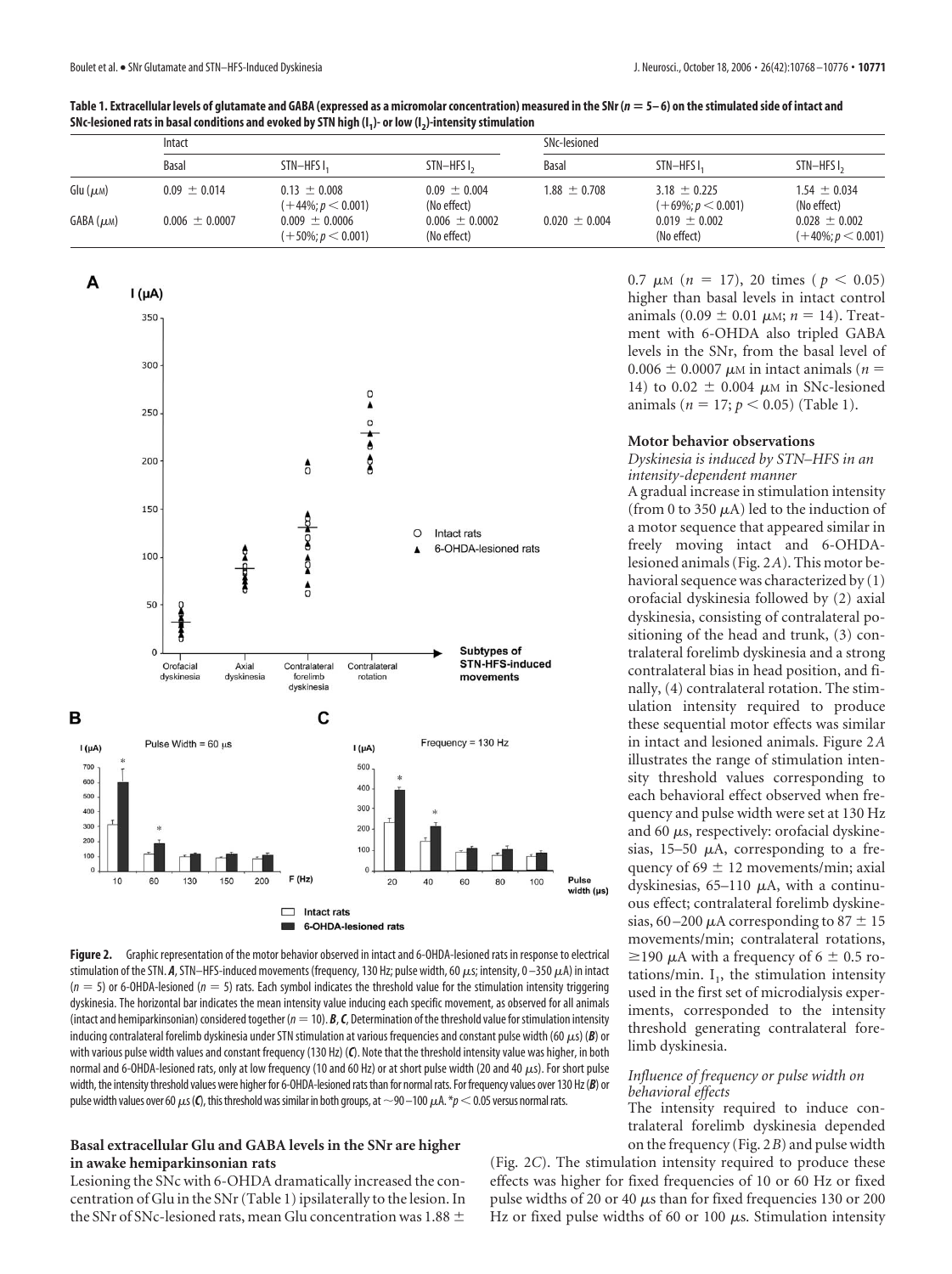Table 1. Extracellular levels of glutamate and GABA (expressed as a micromolar concentration) measured in the SNr (*n* = 5–6) on the stimulated side of intact and **SNc-lesioned rats in basal conditions and evoked by STN high (I1)- or low (I2)-intensity stimulation**

|             | Intact             |                                            |                                   | SNc-lesioned      |                                          |                                           |
|-------------|--------------------|--------------------------------------------|-----------------------------------|-------------------|------------------------------------------|-------------------------------------------|
|             | Basal              | STN-HFS I <sub>1</sub>                     | STN-HFS I <sub>2</sub>            | Basal             | STN-HFS I <sub>1</sub>                   | $STN-HFSI2$                               |
| Glu $(\mu)$ | $0.09 \pm 0.014$   | $0.13 \pm 0.008$<br>$(+44\%; p < 0.001)$   | $0.09 \pm 0.004$<br>(No effect)   | $1.88 \pm 0.708$  | $3.18 \pm 0.225$<br>$(+69\%; p < 0.001)$ | $1.54 \pm 0.034$<br>(No effect)           |
| $GABA(\mu)$ | $0.006 \pm 0.0007$ | $0.009 \pm 0.0006$<br>$(+50\%; p < 0.001)$ | $0.006 \pm 0.0002$<br>(No effect) | $0.020 \pm 0.004$ | $0.019 \pm 0.002$<br>(No effect)         | $0.028 \pm 0.002$<br>$(+40\%; p < 0.001)$ |



**Figure 2.** Graphic representation of the motor behavior observed in intact and 6-OHDA-lesioned rats in response to electrical stimulation of the STN. *A*, STN–HFS-induced movements (frequency, 130 Hz; pulse width, 60  $\mu$ s; intensity, 0-350  $\mu$ A) in intact (*n* 5) or 6-OHDA-lesioned (*n* 5) rats. Each symbol indicates the threshold value for the stimulation intensity triggering dyskinesia. The horizontal bar indicates the mean intensity value inducing each specific movement, as observed for all animals (intact and hemiparkinsonian) considered together ( $n=10$ ).  $B$ ,  $C$ , Determination of the threshold value for stimulation intensity inducing contralateral forelimb dyskinesia under STN stimulation at various frequencies and constant pulse width (60  $\mu$ s) (**B**) or with various pulse width values and constant frequency (130 Hz) (*C*). Note that the threshold intensity value was higher, in both normal and 6-OHDA-lesioned rats, only at low frequency (10 and 60 Hz) or at short pulse width (20 and 40  $\mu$ s). For short pulse width, the intensity threshold values were higher for 6-OHDA-lesioned rats than for normal rats. For frequency values over 130 Hz (*B*) or pulse width values over 60  $\mu$ s (C), this threshold was similar in both groups, at  $\sim$ 90 –100  $\mu$ A.  $*p$  < 0.05 versus normal rats.

#### **Basal extracellular Glu and GABA levels in the SNr are higher in awake hemiparkinsonian rats**

Lesioning the SNc with 6-OHDA dramatically increased the concentration of Glu in the SNr (Table 1) ipsilaterally to the lesion. In the SNr of SNc-lesioned rats, mean Glu concentration was 1.88  $\pm$  0.7  $\mu$ <sub>M</sub> (*n* = 17), 20 times (*p* < 0.05) higher than basal levels in intact control animals (0.09  $\pm$  0.01  $\mu$ M;  $n = 14$ ). Treatment with 6-OHDA also tripled GABA levels in the SNr, from the basal level of  $0.006 \pm 0.0007$   $\mu$ m in intact animals ( $n =$ 14) to 0.02  $\pm$  0.004  $\mu$ M in SNc-lesioned animals ( $n = 17$ ;  $p < 0.05$ ) (Table 1).

#### **Motor behavior observations**

*Dyskinesia is induced by STN–HFS in an intensity-dependent manner*

A gradual increase in stimulation intensity (from 0 to 350  $\mu$ A) led to the induction of a motor sequence that appeared similar in freely moving intact and 6-OHDAlesioned animals (Fig. 2*A*). This motor behavioral sequence was characterized by (1) orofacial dyskinesia followed by (2) axial dyskinesia, consisting of contralateral positioning of the head and trunk, (3) contralateral forelimb dyskinesia and a strong contralateral bias in head position, and finally, (4) contralateral rotation. The stimulation intensity required to produce these sequential motor effects was similar in intact and lesioned animals. Figure 2*A* illustrates the range of stimulation intensity threshold values corresponding to each behavioral effect observed when frequency and pulse width were set at 130 Hz and 60  $\mu$ s, respectively: orofacial dyskinesias, 15–50  $\mu$ A, corresponding to a frequency of  $69 \pm 12$  movements/min; axial dyskinesias,  $65-110 \mu A$ , with a continuous effect; contralateral forelimb dyskinesias, 60–200  $\mu$ A corresponding to 87  $\pm$  15 movements/min; contralateral rotations,  $\geq$ 190  $\mu$ A with a frequency of 6  $\pm$  0.5 rotations/min.  $I_1$ , the stimulation intensity used in the first set of microdialysis experiments, corresponded to the intensity threshold generating contralateral forelimb dyskinesia.

#### *Influence of frequency or pulse width on behavioral effects*

The intensity required to induce contralateral forelimb dyskinesia depended on the frequency (Fig. 2*B*) and pulse width

(Fig. 2*C*). The stimulation intensity required to produce these effects was higher for fixed frequencies of 10 or 60 Hz or fixed pulse widths of 20 or 40  $\mu$ s than for fixed frequencies 130 or 200 Hz or fixed pulse widths of 60 or 100  $\mu$ s. Stimulation intensity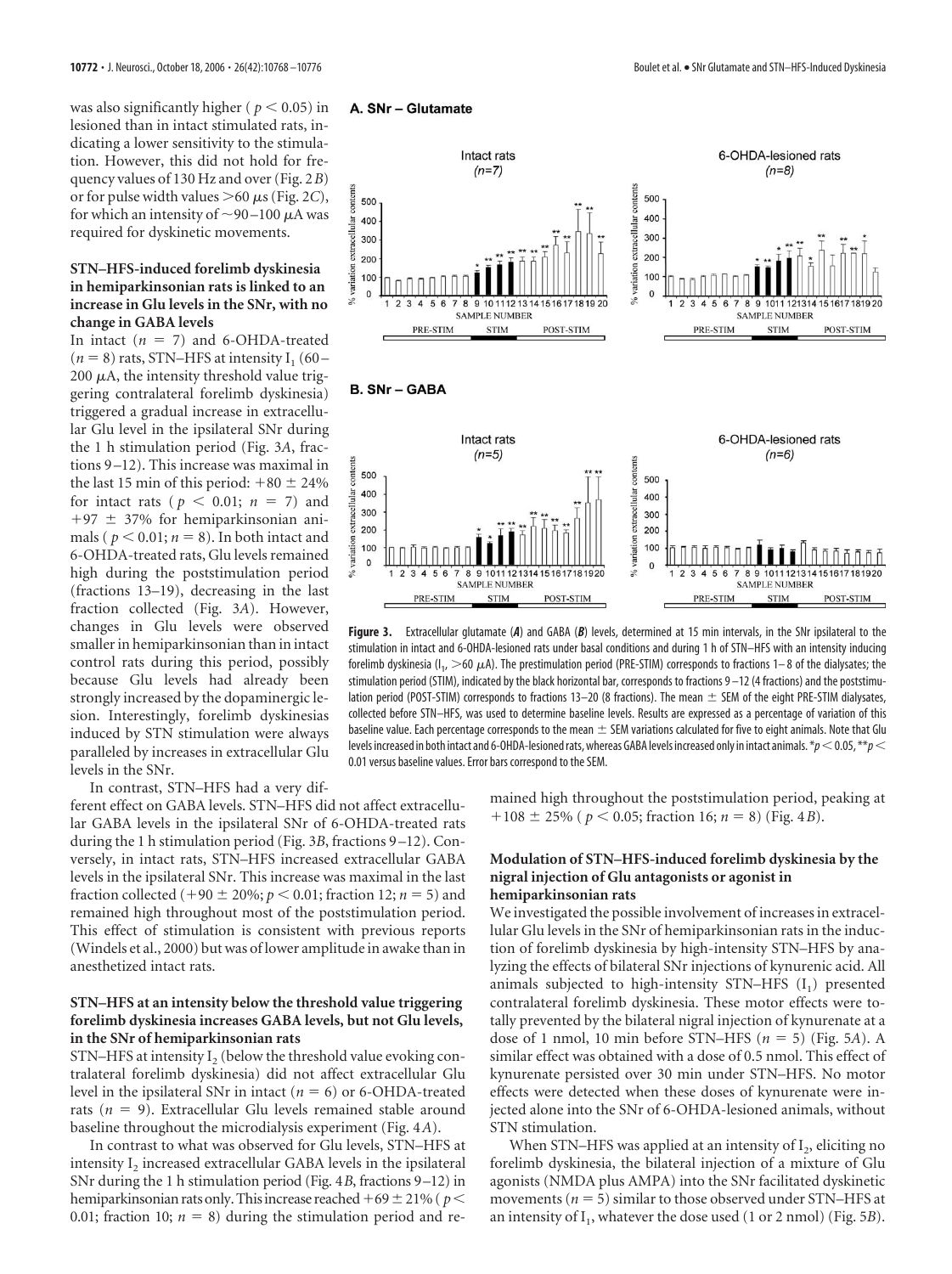was also significantly higher ( $p < 0.05$ ) in lesioned than in intact stimulated rats, indicating a lower sensitivity to the stimulation. However, this did not hold for frequency values of 130 Hz and over (Fig. 2*B*) or for pulse width values  $>60 \mu s$  (Fig. 2*C*), for which an intensity of  $\sim$ 90–100  $\mu$ A was required for dyskinetic movements.

A. SNr - Glutamate

#### **STN–HFS-induced forelimb dyskinesia in hemiparkinsonian rats is linked to an increase in Glu levels in the SNr, with no change in GABA levels**

In intact  $(n = 7)$  and 6-OHDA-treated  $(n = 8)$  rats, STN–HFS at intensity I<sub>1</sub> (60– 200  $\mu$ A, the intensity threshold value triggering contralateral forelimb dyskinesia) triggered a gradual increase in extracellular Glu level in the ipsilateral SNr during the 1 h stimulation period (Fig. 3*A*, fractions 9-12). This increase was maximal in the last 15 min of this period:  $+80 \pm 24\%$ for intact rats ( $p < 0.01$ ;  $n = 7$ ) and +97 ± 37% for hemiparkinsonian animals ( $p < 0.01$ ;  $n = 8$ ). In both intact and 6-OHDA-treated rats, Glu levels remained high during the poststimulation period (fractions 13–19), decreasing in the last fraction collected (Fig. 3*A*). However, changes in Glu levels were observed smaller in hemiparkinsonian than in intact control rats during this period, possibly because Glu levels had already been strongly increased by the dopaminergic lesion. Interestingly, forelimb dyskinesias induced by STN stimulation were always paralleled by increases in extracellular Glu levels in the SNr.

In contrast, STN–HFS had a very dif-

ferent effect on GABA levels. STN–HFS did not affect extracellular GABA levels in the ipsilateral SNr of 6-OHDA-treated rats during the 1 h stimulation period (Fig. 3B, fractions 9-12). Conversely, in intact rats, STN–HFS increased extracellular GABA levels in the ipsilateral SNr. This increase was maximal in the last fraction collected  $(+90 \pm 20\%; p < 0.01;$  fraction 12;  $n = 5$ ) and remained high throughout most of the poststimulation period. This effect of stimulation is consistent with previous reports (Windels et al., 2000) but was of lower amplitude in awake than in anesthetized intact rats.

#### **STN–HFS at an intensity below the threshold value triggering forelimb dyskinesia increases GABA levels, but not Glu levels, in the SNr of hemiparkinsonian rats**

STN–HFS at intensity  $I_2$  (below the threshold value evoking contralateral forelimb dyskinesia) did not affect extracellular Glu level in the ipsilateral SNr in intact  $(n = 6)$  or 6-OHDA-treated rats  $(n = 9)$ . Extracellular Glu levels remained stable around baseline throughout the microdialysis experiment (Fig. 4*A*).

In contrast to what was observed for Glu levels, STN–HFS at intensity I<sub>2</sub> increased extracellular GABA levels in the ipsilateral SNr during the 1 h stimulation period (Fig. 4*B*, fractions 9–12) in hemiparkinsonian rats only. This increase reached +69  $\pm$  21% (  $p$   $<$ 0.01; fraction 10;  $n = 8$ ) during the stimulation period and re**STIM** 

POST-STIM

PRE-STIM



**Figure 3.** Extracellular glutamate (*A*) and GABA (*B*) levels, determined at 15 min intervals, in the SNr ipsilateral to the stimulation in intact and 6-OHDA-lesioned rats under basal conditions and during 1 h of STN–HFS with an intensity inducing forelimb dyskinesia ( $I_1$  >60  $\mu$ A). The prestimulation period (PRE-STIM) corresponds to fractions 1–8 of the dialysates; the stimulation period (STIM), indicated by the black horizontal bar, corresponds to fractions 9 –12 (4 fractions) and the poststimulation period (POST-STIM) corresponds to fractions 13–20 (8 fractions). The mean  $\pm$  SEM of the eight PRE-STIM dialysates, collected before STN–HFS, was used to determine baseline levels. Results are expressed as a percentage of variation of this baseline value. Each percentage corresponds to the mean  $\pm$  SEM variations calculated for five to eight animals. Note that Glu levels increased in both intact and 6-OHDA-lesioned rats, whereas GABA levels increased only in intact animals.  $*_p$  < 0.05,  $*_p$  < 0.01 versus baseline values. Error bars correspond to the SEM.

POST-STIM

**STIM** 

PRE-STIM

mained high throughout the poststimulation period, peaking at  $+108 \pm 25\%$  ( $p < 0.05$ ; fraction 16;  $n = 8$ ) (Fig. 4*B*).

#### **Modulation of STN–HFS-induced forelimb dyskinesia by the nigral injection of Glu antagonists or agonist in hemiparkinsonian rats**

We investigated the possible involvement of increases in extracellular Glu levels in the SNr of hemiparkinsonian rats in the induction of forelimb dyskinesia by high-intensity STN–HFS by analyzing the effects of bilateral SNr injections of kynurenic acid. All animals subjected to high-intensity  $STN–HFS$  (I<sub>1</sub>) presented contralateral forelimb dyskinesia. These motor effects were totally prevented by the bilateral nigral injection of kynurenate at a dose of 1 nmol, 10 min before STN–HFS  $(n = 5)$  (Fig. 5*A*). A similar effect was obtained with a dose of 0.5 nmol. This effect of kynurenate persisted over 30 min under STN–HFS. No motor effects were detected when these doses of kynurenate were injected alone into the SNr of 6-OHDA-lesioned animals, without STN stimulation.

When STN–HFS was applied at an intensity of  $I_2$ , eliciting no forelimb dyskinesia, the bilateral injection of a mixture of Glu agonists (NMDA plus AMPA) into the SNr facilitated dyskinetic movements ( $n = 5$ ) similar to those observed under STN–HFS at an intensity of I<sub>1</sub>, whatever the dose used (1 or 2 nmol) (Fig. 5*B*).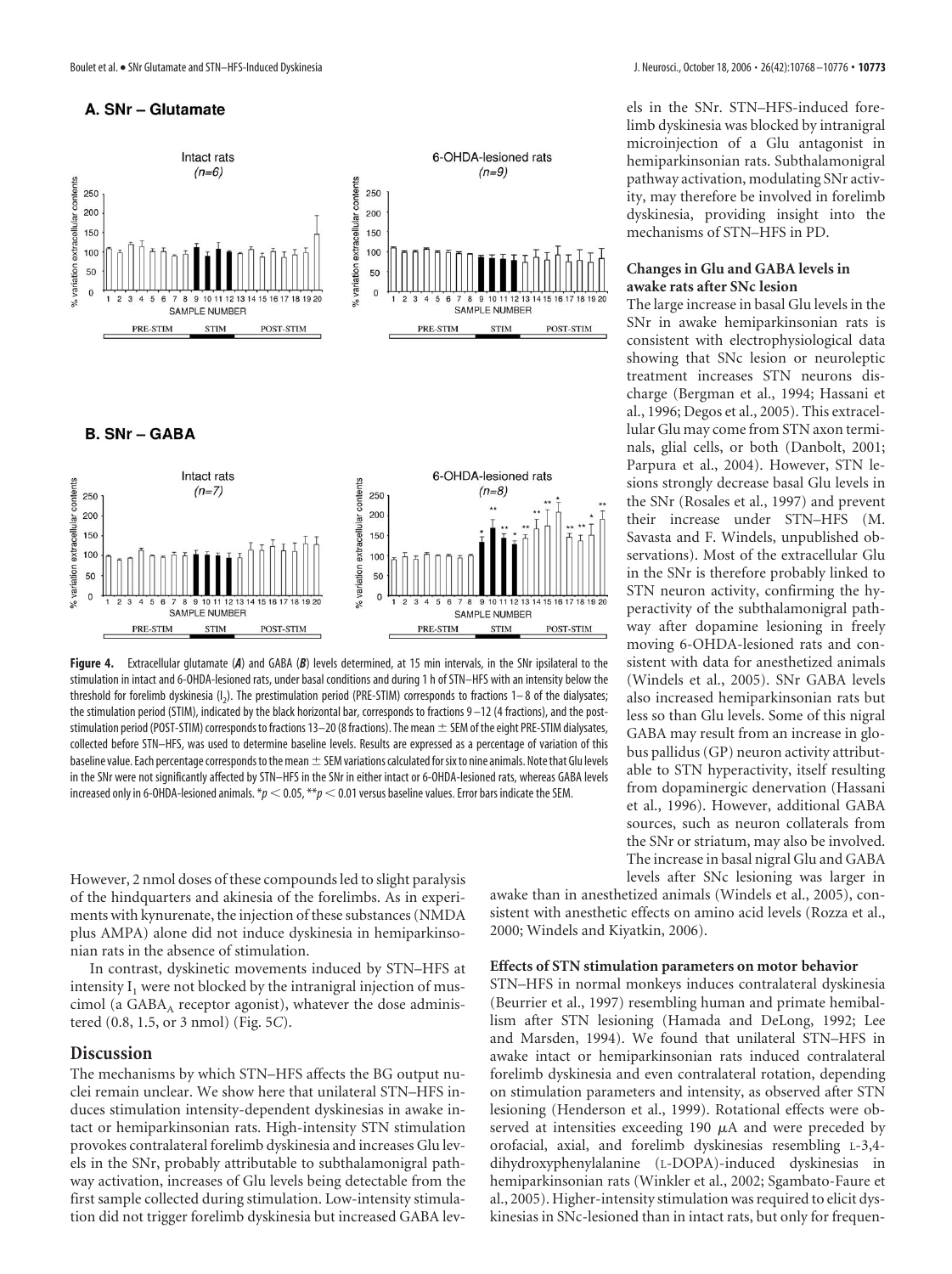#### A. SNr - Glutamate



**Figure 4.** Extracellular glutamate (*A*) and GABA (*B*) levels determined, at 15 min intervals, in the SNr ipsilateral to the stimulation in intact and 6-OHDA-lesioned rats, under basal conditions and during 1 h ofSTN–HFS with an intensity below the threshold for forelimb dyskinesia  $(I_2)$ . The prestimulation period (PRE-STIM) corresponds to fractions 1–8 of the dialysates; the stimulation period (STIM), indicated by the black horizontal bar, corresponds to fractions 9 – 12 (4 fractions), and the poststimulation period (POST-STIM) corresponds to fractions 13–20 (8 fractions). The mean  $\pm$  SEM of the eight PRE-STIM dialysates, collected before STN–HFS, was used to determine baseline levels. Results are expressed as a percentage of variation of this baseline value. Each percentage corresponds to the mean  $\pm$  SEM variations calculated for six to nine animals. Note that Glu levels in the SNr were not significantly affected by STN–HFS in the SNr in either intact or 6-OHDA-lesioned rats, whereas GABA levels increased only in 6-OHDA-lesioned animals.  $/p < 0.05$ ,  $**p < 0.01$  versus baseline values. Error bars indicate the SEM.

However, 2 nmol doses of these compounds led to slight paralysis of the hindquarters and akinesia of the forelimbs. As in experiments with kynurenate, the injection of these substances (NMDA plus AMPA) alone did not induce dyskinesia in hemiparkinsonian rats in the absence of stimulation.

In contrast, dyskinetic movements induced by STN–HFS at intensity  $I_1$  were not blocked by the intranigral injection of muscimol (a  $GABA_A$  receptor agonist), whatever the dose administered (0.8, 1.5, or 3 nmol) (Fig. 5*C*).

#### **Discussion**

The mechanisms by which STN–HFS affects the BG output nuclei remain unclear. We show here that unilateral STN–HFS induces stimulation intensity-dependent dyskinesias in awake intact or hemiparkinsonian rats. High-intensity STN stimulation provokes contralateral forelimb dyskinesia and increases Glu levels in the SNr, probably attributable to subthalamonigral pathway activation, increases of Glu levels being detectable from the first sample collected during stimulation. Low-intensity stimulation did not trigger forelimb dyskinesia but increased GABA levels in the SNr. STN–HFS-induced forelimb dyskinesia was blocked by intranigral microinjection of a Glu antagonist in hemiparkinsonian rats. Subthalamonigral pathway activation, modulating SNr activity, may therefore be involved in forelimb dyskinesia, providing insight into the mechanisms of STN–HFS in PD.

#### **Changes in Glu and GABA levels in awake rats after SNc lesion**

The large increase in basal Glu levels in the SNr in awake hemiparkinsonian rats is consistent with electrophysiological data showing that SNc lesion or neuroleptic treatment increases STN neurons discharge (Bergman et al., 1994; Hassani et al., 1996; Degos et al., 2005). This extracellular Glu may come from STN axon terminals, glial cells, or both (Danbolt, 2001; Parpura et al., 2004). However, STN lesions strongly decrease basal Glu levels in the SNr (Rosales et al., 1997) and prevent their increase under STN–HFS (M. Savasta and F. Windels, unpublished observations). Most of the extracellular Glu in the SNr is therefore probably linked to STN neuron activity, confirming the hyperactivity of the subthalamonigral pathway after dopamine lesioning in freely moving 6-OHDA-lesioned rats and consistent with data for anesthetized animals (Windels et al., 2005). SNr GABA levels also increased hemiparkinsonian rats but less so than Glu levels. Some of this nigral GABA may result from an increase in globus pallidus (GP) neuron activity attributable to STN hyperactivity, itself resulting from dopaminergic denervation (Hassani et al., 1996). However, additional GABA sources, such as neuron collaterals from the SNr or striatum, may also be involved. The increase in basal nigral Glu and GABA levels after SNc lesioning was larger in

awake than in anesthetized animals (Windels et al., 2005), consistent with anesthetic effects on amino acid levels (Rozza et al., 2000; Windels and Kiyatkin, 2006).

#### **Effects of STN stimulation parameters on motor behavior**

STN–HFS in normal monkeys induces contralateral dyskinesia (Beurrier et al., 1997) resembling human and primate hemiballism after STN lesioning (Hamada and DeLong, 1992; Lee and Marsden, 1994). We found that unilateral STN–HFS in awake intact or hemiparkinsonian rats induced contralateral forelimb dyskinesia and even contralateral rotation, depending on stimulation parameters and intensity, as observed after STN lesioning (Henderson et al., 1999). Rotational effects were observed at intensities exceeding 190  $\mu$ A and were preceded by orofacial, axial, and forelimb dyskinesias resembling L-3,4 dihydroxyphenylalanine (L-DOPA)-induced dyskinesias in hemiparkinsonian rats (Winkler et al., 2002; Sgambato-Faure et al., 2005). Higher-intensity stimulation was required to elicit dyskinesias in SNc-lesioned than in intact rats, but only for frequen-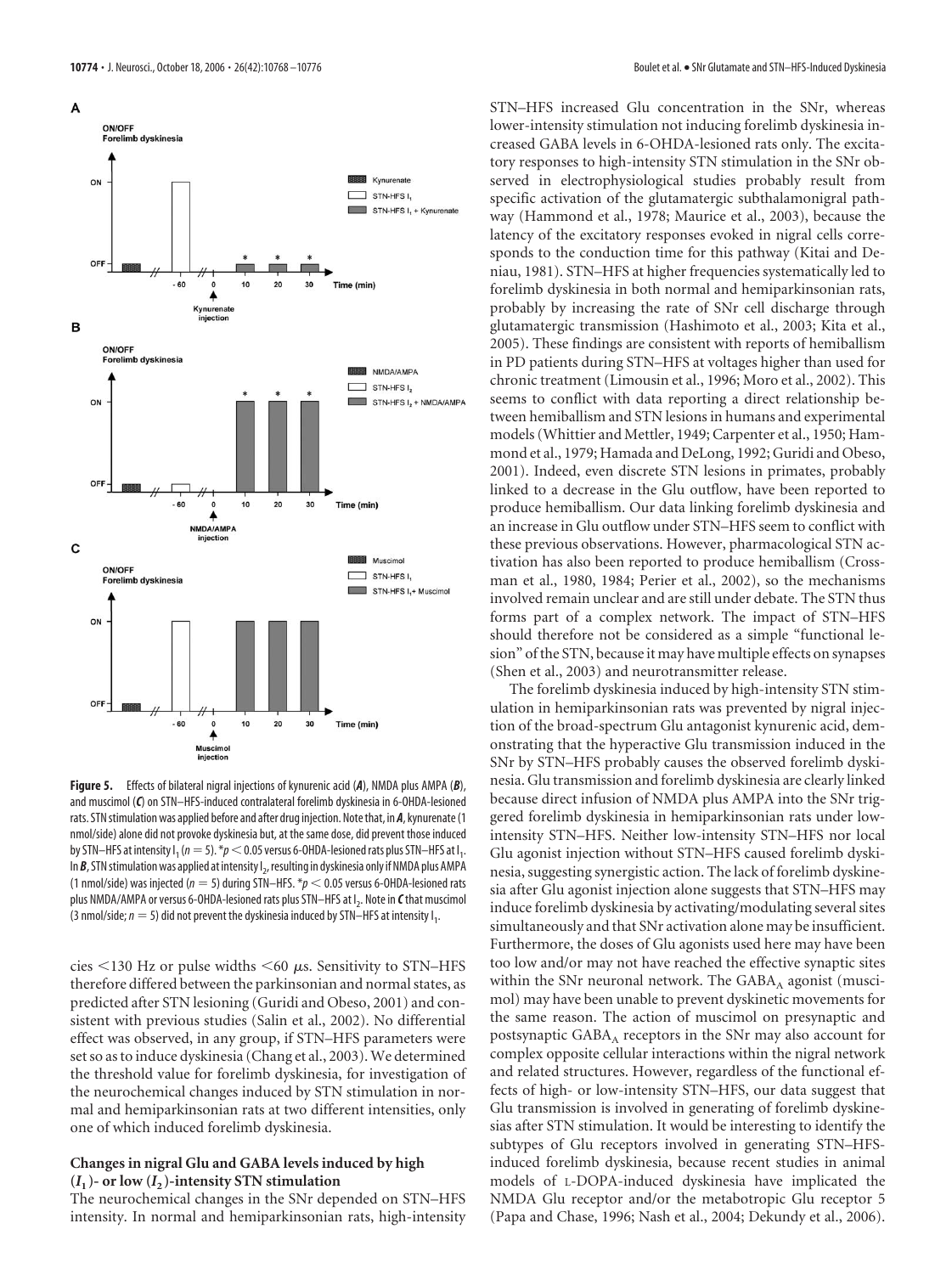

**Figure 5.** Effects of bilateral nigral injections of kynurenic acid (*A*), NMDA plus AMPA (*B*), and muscimol (*C*) on STN–HFS-induced contralateral forelimb dyskinesia in 6-OHDA-lesioned rats. STN stimulation was applied before and after drug injection. Note that, in *A*, kynurenate (1 nmol/side) alone did not provoke dyskinesia but, at the same dose, did prevent those induced by STN–HFS at intensity  $I_1(n=5)$ .  $*p$  < 0.05 versus 6-OHDA-lesioned rats plus STN–HFS at  $I_1$ . In *B*, STN stimulation was applied at intensity I<sub>2</sub>, resulting in dyskinesia only if NMDA plus AMPA (1 nmol/side) was injected ( $n = 5$ ) during STN–HFS.  $p < 0.05$  versus 6-OHDA-lesioned rats plus NMDA/AMPA or versus 6-OHDA-lesioned rats plus STN–HFS at I2. Note in *C*that muscimol (3 nmol/side;  $n = 5$ ) did not prevent the dyskinesia induced by STN–HFS at intensity  $I_1$ .

cies  $\le$ 130 Hz or pulse widths  $\le$ 60  $\mu$ s. Sensitivity to STN–HFS therefore differed between the parkinsonian and normal states, as predicted after STN lesioning (Guridi and Obeso, 2001) and consistent with previous studies (Salin et al., 2002). No differential effect was observed, in any group, if STN–HFS parameters were set so as to induce dyskinesia (Chang et al., 2003). We determined the threshold value for forelimb dyskinesia, for investigation of the neurochemical changes induced by STN stimulation in normal and hemiparkinsonian rats at two different intensities, only one of which induced forelimb dyskinesia.

#### **Changes in nigral Glu and GABA levels induced by high**  $(I_1)$ - or low  $(I_2)$ -intensity STN stimulation

The neurochemical changes in the SNr depended on STN–HFS intensity. In normal and hemiparkinsonian rats, high-intensity STN–HFS increased Glu concentration in the SNr, whereas lower-intensity stimulation not inducing forelimb dyskinesia increased GABA levels in 6-OHDA-lesioned rats only. The excitatory responses to high-intensity STN stimulation in the SNr observed in electrophysiological studies probably result from specific activation of the glutamatergic subthalamonigral pathway (Hammond et al., 1978; Maurice et al., 2003), because the latency of the excitatory responses evoked in nigral cells corresponds to the conduction time for this pathway (Kitai and Deniau, 1981). STN–HFS at higher frequencies systematically led to forelimb dyskinesia in both normal and hemiparkinsonian rats, probably by increasing the rate of SNr cell discharge through glutamatergic transmission (Hashimoto et al., 2003; Kita et al., 2005). These findings are consistent with reports of hemiballism in PD patients during STN–HFS at voltages higher than used for chronic treatment (Limousin et al., 1996; Moro et al., 2002). This seems to conflict with data reporting a direct relationship between hemiballism and STN lesions in humans and experimental models (Whittier and Mettler, 1949; Carpenter et al., 1950; Hammond et al., 1979; Hamada and DeLong, 1992; Guridi and Obeso, 2001). Indeed, even discrete STN lesions in primates, probably linked to a decrease in the Glu outflow, have been reported to produce hemiballism. Our data linking forelimb dyskinesia and an increase in Glu outflow under STN–HFS seem to conflict with these previous observations. However, pharmacological STN activation has also been reported to produce hemiballism (Crossman et al., 1980, 1984; Perier et al., 2002), so the mechanisms involved remain unclear and are still under debate. The STN thus forms part of a complex network. The impact of STN–HFS should therefore not be considered as a simple "functional lesion" of the STN, because it may have multiple effects on synapses (Shen et al., 2003) and neurotransmitter release.

The forelimb dyskinesia induced by high-intensity STN stimulation in hemiparkinsonian rats was prevented by nigral injection of the broad-spectrum Glu antagonist kynurenic acid, demonstrating that the hyperactive Glu transmission induced in the SNr by STN–HFS probably causes the observed forelimb dyskinesia. Glu transmission and forelimb dyskinesia are clearly linked because direct infusion of NMDA plus AMPA into the SNr triggered forelimb dyskinesia in hemiparkinsonian rats under lowintensity STN–HFS. Neither low-intensity STN–HFS nor local Glu agonist injection without STN–HFS caused forelimb dyskinesia, suggesting synergistic action. The lack of forelimb dyskinesia after Glu agonist injection alone suggests that STN–HFS may induce forelimb dyskinesia by activating/modulating several sites simultaneously and that SNr activation alone may be insufficient. Furthermore, the doses of Glu agonists used here may have been too low and/or may not have reached the effective synaptic sites within the SNr neuronal network. The  $GABA_A$  agonist (muscimol) may have been unable to prevent dyskinetic movements for the same reason. The action of muscimol on presynaptic and postsynaptic GABA<sub>A</sub> receptors in the SNr may also account for complex opposite cellular interactions within the nigral network and related structures. However, regardless of the functional effects of high- or low-intensity STN–HFS, our data suggest that Glu transmission is involved in generating of forelimb dyskinesias after STN stimulation. It would be interesting to identify the subtypes of Glu receptors involved in generating STN–HFSinduced forelimb dyskinesia, because recent studies in animal models of L-DOPA-induced dyskinesia have implicated the NMDA Glu receptor and/or the metabotropic Glu receptor 5 (Papa and Chase, 1996; Nash et al., 2004; Dekundy et al., 2006).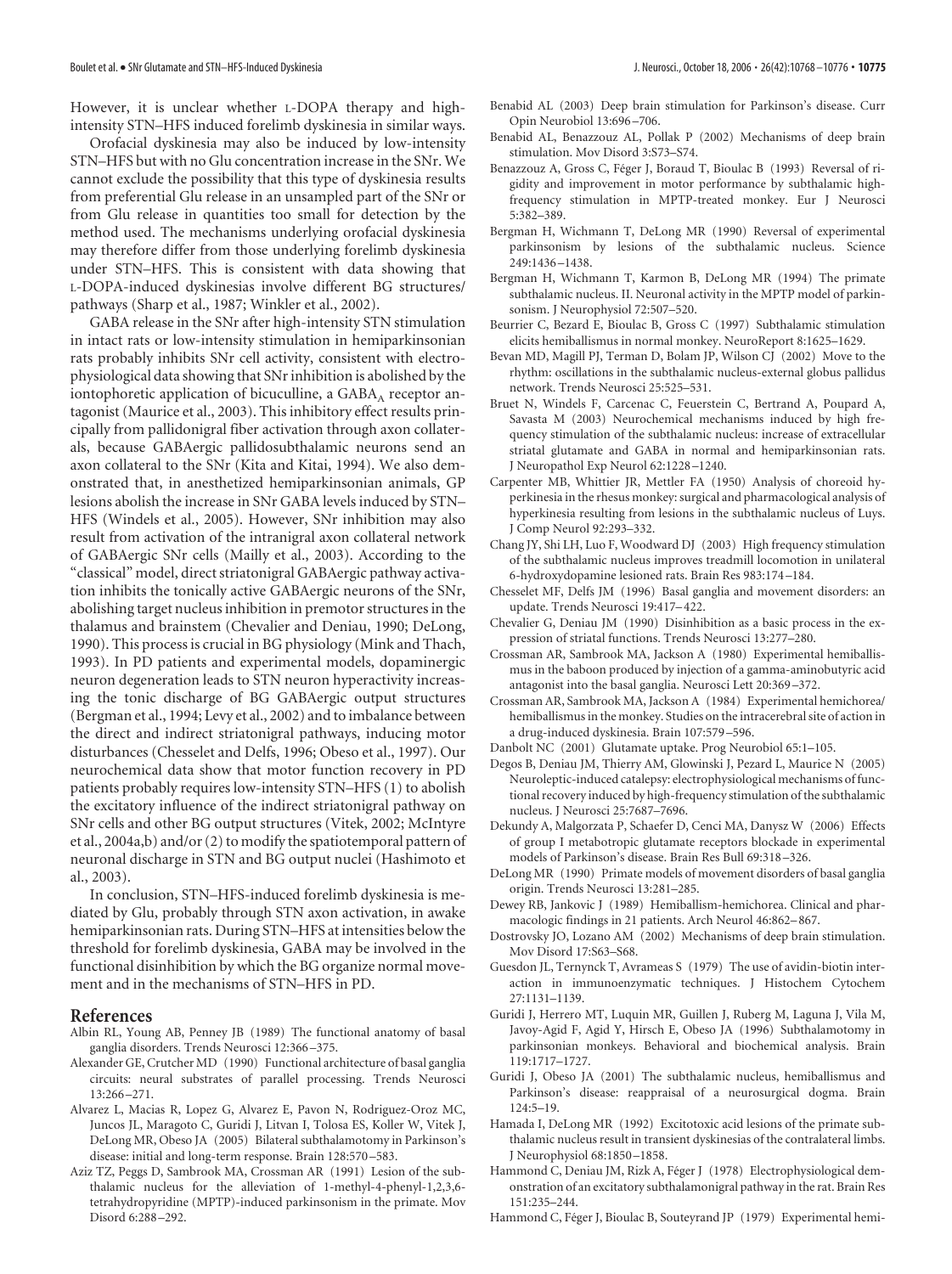However, it is unclear whether L-DOPA therapy and highintensity STN–HFS induced forelimb dyskinesia in similar ways.

Orofacial dyskinesia may also be induced by low-intensity STN–HFS but with no Glu concentration increase in the SNr. We cannot exclude the possibility that this type of dyskinesia results from preferential Glu release in an unsampled part of the SNr or from Glu release in quantities too small for detection by the method used. The mechanisms underlying orofacial dyskinesia may therefore differ from those underlying forelimb dyskinesia under STN–HFS. This is consistent with data showing that L-DOPA-induced dyskinesias involve different BG structures/ pathways (Sharp et al., 1987; Winkler et al., 2002).

GABA release in the SNr after high-intensity STN stimulation in intact rats or low-intensity stimulation in hemiparkinsonian rats probably inhibits SNr cell activity, consistent with electrophysiological data showing that SNr inhibition is abolished by the iontophoretic application of bicuculline, a  $GABA_A$  receptor antagonist (Maurice et al., 2003). This inhibitory effect results principally from pallidonigral fiber activation through axon collaterals, because GABAergic pallidosubthalamic neurons send an axon collateral to the SNr (Kita and Kitai, 1994). We also demonstrated that, in anesthetized hemiparkinsonian animals, GP lesions abolish the increase in SNr GABA levels induced by STN– HFS (Windels et al., 2005). However, SNr inhibition may also result from activation of the intranigral axon collateral network of GABAergic SNr cells (Mailly et al., 2003). According to the "classical" model, direct striatonigral GABAergic pathway activation inhibits the tonically active GABAergic neurons of the SNr, abolishing target nucleus inhibition in premotor structures in the thalamus and brainstem (Chevalier and Deniau, 1990; DeLong, 1990). This process is crucial in BG physiology (Mink and Thach, 1993). In PD patients and experimental models, dopaminergic neuron degeneration leads to STN neuron hyperactivity increasing the tonic discharge of BG GABAergic output structures (Bergman et al., 1994; Levy et al., 2002) and to imbalance between the direct and indirect striatonigral pathways, inducing motor disturbances (Chesselet and Delfs, 1996; Obeso et al., 1997). Our neurochemical data show that motor function recovery in PD patients probably requires low-intensity STN–HFS (1) to abolish the excitatory influence of the indirect striatonigral pathway on SNr cells and other BG output structures (Vitek, 2002; McIntyre et al., 2004a,b) and/or (2) to modify the spatiotemporal pattern of neuronal discharge in STN and BG output nuclei (Hashimoto et al., 2003).

In conclusion, STN–HFS-induced forelimb dyskinesia is mediated by Glu, probably through STN axon activation, in awake hemiparkinsonian rats. During STN–HFS at intensities below the threshold for forelimb dyskinesia, GABA may be involved in the functional disinhibition by which the BG organize normal movement and in the mechanisms of STN–HFS in PD.

#### **References**

- Albin RL, Young AB, Penney JB (1989) The functional anatomy of basal ganglia disorders. Trends Neurosci 12:366 –375.
- Alexander GE, Crutcher MD (1990) Functional architecture of basal ganglia circuits: neural substrates of parallel processing. Trends Neurosci 13:266 –271.
- Alvarez L, Macias R, Lopez G, Alvarez E, Pavon N, Rodriguez-Oroz MC, Juncos JL, Maragoto C, Guridi J, Litvan I, Tolosa ES, Koller W, Vitek J, DeLong MR, Obeso JA (2005) Bilateral subthalamotomy in Parkinson's disease: initial and long-term response. Brain 128:570 –583.
- Aziz TZ, Peggs D, Sambrook MA, Crossman AR (1991) Lesion of the subthalamic nucleus for the alleviation of 1-methyl-4-phenyl-1,2,3,6 tetrahydropyridine (MPTP)-induced parkinsonism in the primate. Mov Disord 6:288 –292.
- Benabid AL (2003) Deep brain stimulation for Parkinson's disease. Curr Opin Neurobiol 13:696 –706.
- Benabid AL, Benazzouz AL, Pollak P (2002) Mechanisms of deep brain stimulation. Mov Disord 3:S73–S74.
- Benazzouz A, Gross C, Féger J, Boraud T, Bioulac B (1993) Reversal of rigidity and improvement in motor performance by subthalamic highfrequency stimulation in MPTP-treated monkey. Eur J Neurosci 5:382–389.
- Bergman H, Wichmann T, DeLong MR (1990) Reversal of experimental parkinsonism by lesions of the subthalamic nucleus. Science 249:1436 –1438.
- Bergman H, Wichmann T, Karmon B, DeLong MR (1994) The primate subthalamic nucleus. II. Neuronal activity in the MPTP model of parkinsonism. J Neurophysiol 72:507–520.
- Beurrier C, Bezard E, Bioulac B, Gross C (1997) Subthalamic stimulation elicits hemiballismus in normal monkey. NeuroReport 8:1625–1629.
- Bevan MD, Magill PJ, Terman D, Bolam JP, Wilson CJ (2002) Move to the rhythm: oscillations in the subthalamic nucleus-external globus pallidus network. Trends Neurosci 25:525–531.
- Bruet N, Windels F, Carcenac C, Feuerstein C, Bertrand A, Poupard A, Savasta M (2003) Neurochemical mechanisms induced by high frequency stimulation of the subthalamic nucleus: increase of extracellular striatal glutamate and GABA in normal and hemiparkinsonian rats. J Neuropathol Exp Neurol 62:1228 –1240.
- Carpenter MB, Whittier JR, Mettler FA (1950) Analysis of choreoid hyperkinesia in the rhesus monkey: surgical and pharmacological analysis of hyperkinesia resulting from lesions in the subthalamic nucleus of Luys. J Comp Neurol 92:293–332.
- Chang JY, Shi LH, Luo F, Woodward DJ (2003) High frequency stimulation of the subthalamic nucleus improves treadmill locomotion in unilateral 6-hydroxydopamine lesioned rats. Brain Res 983:174 –184.
- Chesselet MF, Delfs JM (1996) Basal ganglia and movement disorders: an update. Trends Neurosci 19:417–422.
- Chevalier G, Deniau JM (1990) Disinhibition as a basic process in the expression of striatal functions. Trends Neurosci 13:277–280.
- Crossman AR, Sambrook MA, Jackson A (1980) Experimental hemiballismus in the baboon produced by injection of a gamma-aminobutyric acid antagonist into the basal ganglia. Neurosci Lett 20:369 –372.
- Crossman AR, Sambrook MA, Jackson A (1984) Experimental hemichorea/ hemiballismus in the monkey. Studies on the intracerebral site of action in a drug-induced dyskinesia. Brain 107:579 –596.
- Danbolt NC (2001) Glutamate uptake. Prog Neurobiol 65:1–105.
- Degos B, Deniau JM, Thierry AM, Glowinski J, Pezard L, Maurice N (2005) Neuroleptic-induced catalepsy: electrophysiological mechanisms of functional recovery induced by high-frequency stimulation of the subthalamic nucleus. J Neurosci 25:7687–7696.
- Dekundy A, Malgorzata P, Schaefer D, Cenci MA, Danysz W (2006) Effects of group I metabotropic glutamate receptors blockade in experimental models of Parkinson's disease. Brain Res Bull 69:318 –326.
- DeLong MR (1990) Primate models of movement disorders of basal ganglia origin. Trends Neurosci 13:281–285.
- Dewey RB, Jankovic J (1989) Hemiballism-hemichorea. Clinical and pharmacologic findings in 21 patients. Arch Neurol 46:862–867.
- Dostrovsky JO, Lozano AM (2002) Mechanisms of deep brain stimulation. Mov Disord 17:S63–S68.
- Guesdon JL, Ternynck T, Avrameas S (1979) The use of avidin-biotin interaction in immunoenzymatic techniques. J Histochem Cytochem 27:1131–1139.
- Guridi J, Herrero MT, Luquin MR, Guillen J, Ruberg M, Laguna J, Vila M, Javoy-Agid F, Agid Y, Hirsch E, Obeso JA (1996) Subthalamotomy in parkinsonian monkeys. Behavioral and biochemical analysis. Brain 119:1717–1727.
- Guridi J, Obeso JA (2001) The subthalamic nucleus, hemiballismus and Parkinson's disease: reappraisal of a neurosurgical dogma. Brain 124:5–19.
- Hamada I, DeLong MR (1992) Excitotoxic acid lesions of the primate subthalamic nucleus result in transient dyskinesias of the contralateral limbs. J Neurophysiol 68:1850 –1858.
- Hammond C, Deniau JM, Rizk A, Féger J (1978) Electrophysiological demonstration of an excitatory subthalamonigral pathway in the rat. Brain Res 151:235–244.
- Hammond C, Féger J, Bioulac B, Souteyrand JP (1979) Experimental hemi-